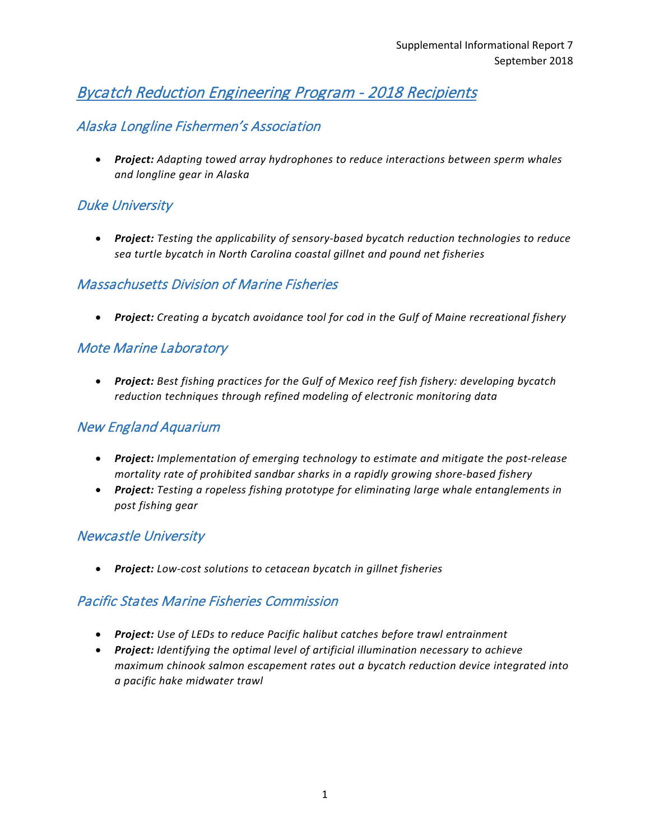# Bycatch Reduction Engineering Program - 2018 Recipients

## Alaska Longline Fishermen's Association

• *Project: Adapting towed array hydrophones to reduce interactions between sperm whales and longline gear in Alaska*

## Duke University

• *Project: Testing the applicability of sensory-based bycatch reduction technologies to reduce sea turtle bycatch in North Carolina coastal gillnet and pound net fisheries*

#### Massachusetts Division of Marine Fisheries

• *Project: Creating a bycatch avoidance tool for cod in the Gulf of Maine recreational fishery* 

## Mote Marine Laboratory

• *Project: Best fishing practices for the Gulf of Mexico reef fish fishery: developing bycatch reduction techniques through refined modeling of electronic monitoring data*

### New England Aquarium

- *Project: Implementation of emerging technology to estimate and mitigate the post-release mortality rate of prohibited sandbar sharks in a rapidly growing shore-based fishery*
- *Project: Testing a ropeless fishing prototype for eliminating large whale entanglements in post fishing gear*

#### Newcastle University

• *Project: Low-cost solutions to cetacean bycatch in gillnet fisheries*

#### Pacific States Marine Fisheries Commission

- *Project: Use of LEDs to reduce Pacific halibut catches before trawl entrainment*
- *Project: Identifying the optimal level of artificial illumination necessary to achieve maximum chinook salmon escapement rates out a bycatch reduction device integrated into a pacific hake midwater trawl*